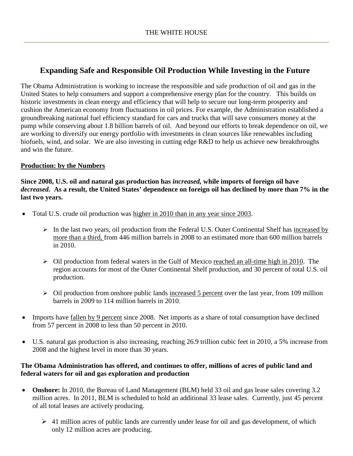# **Expanding Safe and Responsible Oil Production While Investing in the Future**

The Obama Administration is working to increase the responsible and safe production of oil and gas in the United States to help consumers and support a comprehensive energy plan for the country. This builds on historic investments in clean energy and efficiency that will help to secure our long-term prosperity and cushion the American economy from fluctuations in oil prices. For example, the Administration established a groundbreaking national fuel efficiency standard for cars and trucks that will save consumers money at the pump while conserving about 1.8 billion barrels of oil. And beyond our efforts to break dependence on oil, we are working to diversify our energy portfolio with investments in clean sources like renewables including biofuels, wind, and solar. We are also investing in cutting edge R&D to help us achieve new breakthroughs and win the future.

## **Production: by the Numbers**

**Since 2008, U.S. oil and natural gas production has** *increased,* **while imports of foreign oil have**  *decreased***. As a result, the United States' dependence on foreign oil has declined by more than 7% in the last two years.**

- Total U.S. crude oil production was higher in 2010 than in any year since 2003.
	- $\triangleright$  In the last two years, oil production from the Federal U.S. Outer Continental Shelf has increased by more than a third, from 446 million barrels in 2008 to an estimated more than 600 million barrels in 2010.
	- $\triangleright$  Oil production from federal waters in the Gulf of Mexico reached an all-time high in 2010. The region accounts for most of the Outer Continental Shelf production, and 30 percent of total U.S. oil production.
	- $\triangleright$  Oil production from onshore public lands increased 5 percent over the last year, from 109 million barrels in 2009 to 114 million barrels in 2010.
- Imports have <u>fallen by 9 percent</u> since 2008. Net imports as a share of total consumption have declined from 57 percent in 2008 to less than 50 percent in 2010.
- U.S. natural gas production is also increasing, reaching 26.9 trillion cubic feet in 2010, a 5% increase from 2008 and the highest level in more than 30 years.

# **The Obama Administration has offered, and continues to offer, millions of acres of public land and federal waters for oil and gas exploration and production**

- **Onshore:** In 2010, the Bureau of Land Management (BLM) held 33 oil and gas lease sales covering 3.2 million acres. In 2011, BLM is scheduled to hold an additional 33 lease sales. Currently, just 45 percent of all total leases are actively producing.
	- $\geq 41$  million acres of public lands are currently under lease for oil and gas development, of which only 12 million acres are producing.